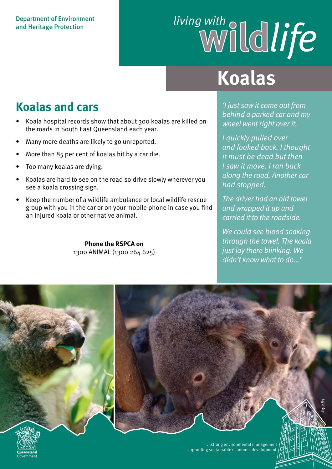# living with of a life

### **Koalas**

#### **Koalas and cars**

- Koala hospital records show that about 300 koalas are killed on the roads in South East Queensland each year.
- Many more deaths are likely to go unreported.
- More than 85 per cent of koalas hit by a car die.
- Too many koalas are dying.
- Koalas are hard to see on the road so drive slowly wherever you see a koala crossing sign.
- Keep the number of a wildlife ambulance or local wildlife rescue group with you in the car or on your mobile phone in case you find an injured koala or other native animal.

**Phone the RSPCA on**  1300 ANIMAL (1300 264 625)

*'I just saw it come out from behind a parked car and my wheel went right over it.*

*I quickly pulled over and looked back. I thought it must be dead but then I saw it move. I ran back along the road. Another car had stopped.* 

*The driver had an old towel and wrapped it up and carried it to the roadside.* 

*We could see blood soaking through the towel. The koala just lay there blinking. We didn't know what to do…'*

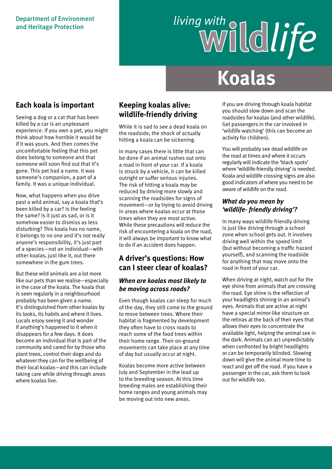# living with a control of the

### **Koalas**

#### **Each koala is important**

Seeing a dog or a cat that has been killed by a car is an unpleasant experience. If you own a pet, you might think about how horrible it would be if it was yours. And then comes the uncomfortable feeling that this pet does belong to someone and that someone will soon find out that it's gone. This pet had a name. It was someone's companion, a part of a family. It was a unique individual.

Now, what happens when you drive past a wild animal, say a koala that's been killed by a car? Is the feeling the same? Is it just as sad, or is it somehow easier to dismiss as less disturbing? This koala has no name, it belongs to no one and it's not really anyone's responsibility, it's just part of a species—not an individual—with other koalas, just like it, out there somewhere in the gum trees.

But these wild animals are a lot more like our pets than we realise—especially in the case of the koala. The koala that is seen regularly in a neighbourhood probably has been given a name. It's distinguished from other koalas by its looks, its habits and where it lives. Locals enjoy seeing it and wonder if anything's happened to it when it disappears for a few days. It does become an individual that is part of the community and cared for by those who plant trees, control their dogs and do whatever they can for the wellbeing of their local koalas—and this can include taking care while driving through areas where koalas live.

#### **Keeping koalas alive: wildlife-friendly driving**

While it is sad to see a dead koala on the roadside, the shock of actually hitting a koala can be sickening.

In many cases there is little that can be done if an animal rushes out onto a road in front of your car. If a koala is struck by a vehicle, it can be killed outright or suffer serious injuries. The risk of hitting a koala may be reduced by driving more slowly and scanning the roadsides for signs of movement—or by trying to avoid driving in areas where koalas occur at those times when they are most active. While these precautions will reduce the risk of encountering a koala on the road, it will always be important to know what to do if an accident does happen.

#### **A driver's questions: How can I steer clear of koalas?**

#### *When are koalas most likely to be moving across roads?*

Even though koalas can sleep for much of the day, they still come to the ground to move between trees. Where their habitat is fragmented by development they often have to cross roads to reach some of the food trees within their home range. Their on-ground movements can take place at any time of day but usually occur at night.

Koalas become more active between July and September in the lead up to the breeding season. At this time breeding males are establishing their home ranges and young animals may be moving out into new areas.

If you are driving through koala habitat you should slow down and scan the roadsides for koalas (and other wildlife). Get passengers in the car involved in 'wildlife watching' (this can become an activity for children).

You will probably see dead wildlife on the road at times and where it occurs regularly will indicate the 'black spots' where 'wildlife-friendly driving' is needed. Koala and wildlife crossing signs are also good indicators of where you need to be aware of wildlife on the road.

#### *What do you mean by 'wildlife- friendly driving'?*

In many ways wildlife-friendly driving is just like driving through a school zone when school gets out. It involves driving well within the speed limit (but without becoming a traffic hazard yourself), and scanning the roadside for anything that may move onto the road in front of your car.

When driving at night, watch out for the eye shine from animals that are crossing the road. Eye shine is the reflection of your headlights shining in an animal's eyes. Animals that are active at night have a special mirror-like structure on the retinas at the back of their eyes that allows their eyes to concentrate the available light, helping the animal see in the dark. Animals can act unpredictably when confronted by bright headlights or can be temporarily blinded. Slowing down will give the animal more time to react and get off the road. If you have a passenger in the car, ask them to look out for wildlife too.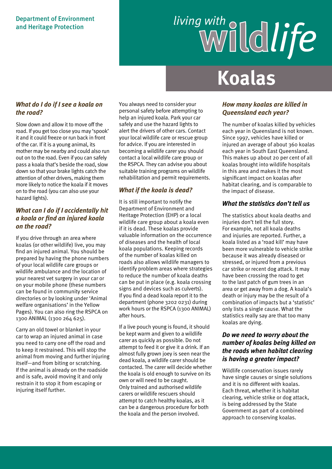## living with a control of the **Koalas**

#### *What do I do if I see a koala on the road?*

Slow down and allow it to move off the road. If you get too close you may 'spook' it and it could freeze or run back in front of the car. If it is a young animal, its mother may be nearby and could also run out on to the road. Even if you can safely pass a koala that's beside the road, slow down so that your brake lights catch the attention of other drivers, making them more likely to notice the koala if it moves on to the road (you can also use your hazard lights).

#### *What can I do if I accidentally hit a koala or find an injured koala on the road?*

If you drive through an area where koalas (or other wildlife) live, you may find an injured animal. You should be prepared by having the phone numbers of your local wildlife care groups or wildlife ambulance and the location of your nearest vet surgery in your car or on your mobile phone (these numbers can be found in community service directories or by looking under 'Animal welfare organisations' in the Yellow Pages). You can also ring the RSPCA on 1300 ANIMAL (1300 264 625).

Carry an old towel or blanket in your car to wrap an injured animal in case you need to carry one off the road and to keep it restrained. This will stop the animal from moving and further injuring itself—and from biting or scratching. If the animal is already on the roadside and is safe, avoid moving it and only restrain it to stop it from escaping or injuring itself further.

You always need to consider your personal safety before attempting to help an injured koala. Park your car safely and use the hazard lights to alert the drivers of other cars. Contact your local wildlife care or rescue group for advice. If you are interested in becoming a wildlife carer you should contact a local wildlife care group or the RSPCA. They can advise you about suitable training programs on wildlife rehabilitation and permit requirements.

#### *What if the koala is dead?*

It is still important to notify the Department of Environment and Heritage Protection (EHP) or a local wildlife care group about a koala even if it is dead. These koalas provide valuable information on the occurrence of diseases and the health of local koala populations. Keeping records of the number of koalas killed on roads also allows wildlife managers to identify problem areas where strategies to reduce the number of koala deaths can be put in place (e.g. koala crossing signs and devices such as culverts). If you find a dead koala report it to the department (phone 3202 0231) during work hours or the RSPCA (1300 ANIMAL) after hours.

If a live pouch young is found, it should be kept warm and given to a wildlife carer as quickly as possible. Do not attempt to feed it or give it a drink. If an almost fully grown joey is seen near the dead koala, a wildlife carer should be contacted. The carer will decide whether the koala is old enough to survive on its own or will need to be caught. Only trained and authorised wildlife carers or wildlife rescuers should attempt to catch healthy koalas, as it can be a dangerous procedure for both the koala and the person involved.

#### *How many koalas are killed in Queensland each year?*

The number of koalas killed by vehicles each year in Queensland is not known. Since 1997, vehicles have killed or injured an average of about 360 koalas each year in South East Queensland. This makes up about 20 per cent of all koalas brought into wildlife hospitals in this area and makes it the most significant impact on koalas after habitat clearing, and is comparable to the impact of disease.

#### *What the statistics don't tell us*

The statistics about koala deaths and injuries don't tell the full story. For example, not all koala deaths and injuries are reported. Further, a koala listed as a 'road kill' may have been more vulnerable to vehicle strike because it was already diseased or stressed, or injured from a previous car strike or recent dog attack. It may have been crossing the road to get to the last patch of gum trees in an area or get away from a dog. A koala's death or injury may be the result of a combination of impacts but a 'statistic' only lists a single cause. What the statistics really say are that too many koalas are dying.

#### *Do we need to worry about the number of koalas being killed on the roads when habitat clearing is having a greater impact?*

Wildlife conservation issues rarely have single causes or single solutions and it is no different with koalas. Each threat, whether it is habitat clearing, vehicle strike or dog attack, is being addressed by the State Government as part of a combined approach to conserving koalas.